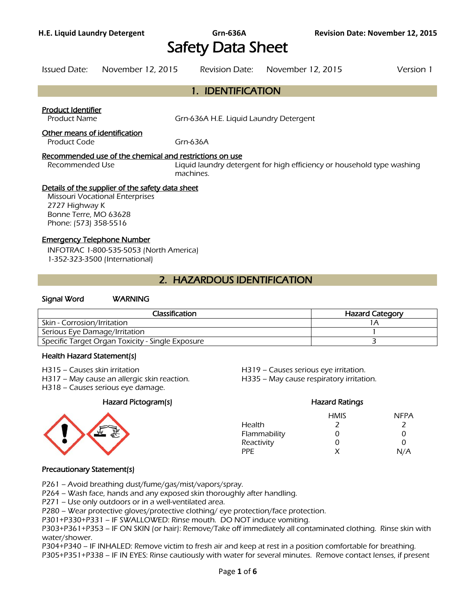# Safety Data Sheet

1. IDENTIFICATION

Issued Date: November 12, 2015 Revision Date: November 12, 2015 Version 1

# Product Identifier Product Name Grn-636A H.E. Liquid Laundry Detergent Other means of identification Product Code Grn-636A Recommended use of the chemical and restrictions on use Recommended Use **Liquid laundry detergent for high efficiency or household type washing** machines. Details of the supplier of the safety data sheet Missouri Vocational Enterprises 2727 Highway K Bonne Terre, MO 63628 Phone: (573) 358-5516 Emergency Telephone Number INFOTRAC 1-800-535-5053 (North America) 1-352-323-3500 (International)

# 2. HAZARDOUS IDENTIFICATION

# Signal Word WARNING

| Classification                                   | <b>Hazard Category</b> |
|--------------------------------------------------|------------------------|
| Skin - Corrosion/Irritation                      |                        |
| Serious Eye Damage/Irritation                    |                        |
| Specific Target Organ Toxicity - Single Exposure |                        |
|                                                  |                        |

#### Health Hazard Statement(s)

- H315 Causes skin irritation H319 Causes serious eye irritation.
- H317 May cause an allergic skin reaction. H335 May cause respiratory irritation.
- H318 Causes serious eye damage.

#### Hazard Pictogram(s) Hazard Ratings



HMIS NFPA Health 2 2 Flammability 0 0 0 Reactivity 0 0 0 PPE  $X$   $N/A$ 

### Precautionary Statement(s)

P261 – Avoid breathing dust/fume/gas/mist/vapors/spray.

P264 – Wash face, hands and any exposed skin thoroughly after handling.

P271 – Use only outdoors or in a well-ventilated area.

P280 – Wear protective gloves/protective clothing/ eye protection/face protection.

P301+P330+P331 – IF SWALLOWED: Rinse mouth. DO NOT induce vomiting.

P303+P361+P353 – IF ON SKIN (or hair): Remove/Take off immediately all contaminated clothing. Rinse skin with water/shower.

P304+P340 – IF INHALED: Remove victim to fresh air and keep at rest in a position comfortable for breathing.

P305+P351+P338 – IF IN EYES: Rinse cautiously with water for several minutes. Remove contact lenses, if present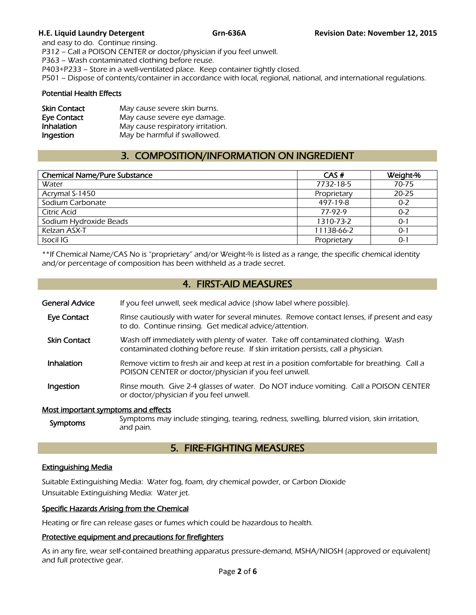and easy to do. Continue rinsing. P312 – Call a POISON CENTER or doctor/physician if you feel unwell. P363 – Wash contaminated clothing before reuse. P403+P233 – Store in a well-ventilated place. Keep container tightly closed. P501 – Dispose of contents/container in accordance with local, regional, national, and international regulations.

# Potential Health Effects

| <b>Skin Contact</b> | May cause severe skin burns.      |
|---------------------|-----------------------------------|
| <b>Eye Contact</b>  | May cause severe eye damage.      |
| Inhalation          | May cause respiratory irritation. |
| Ingestion           | May be harmful if swallowed.      |

# 3. COMPOSITION/INFORMATION ON INGREDIENT

| <b>Chemical Name/Pure Substance</b> | CAS#        | Weight-% |
|-------------------------------------|-------------|----------|
| Water                               | 7732-18-5   | 70-75    |
| Acrymal S-1450                      | Proprietary | 20-25    |
| Sodium Carbonate                    | 497-19-8    | $0 - 2$  |
| Citric Acid                         | 77-97-9     | $0 - 2$  |
| Sodium Hydroxide Beads              | 1310-73-2   | $0 - 1$  |
| Kelzan ASX-T                        | 11138-66-2  | $0 - 1$  |
| Isocil IG                           | Proprietary | $0 - 1$  |
|                                     |             |          |

\*\*If Chemical Name/CAS No is "proprietary" and/or Weight-% is listed as a range, the specific chemical identity and/or percentage of composition has been withheld as a trade secret.

# 4. FIRST-AID MEASURES

| General Advice | If you feel unwell, seek medical advice (show label where possible). |
|----------------|----------------------------------------------------------------------|
|                |                                                                      |

- Eye Contact Rinse cautiously with water for several minutes. Remove contact lenses, if present and easy to do. Continue rinsing. Get medical advice/attention.
- **Skin Contact** Wash off immediately with plenty of water. Take off contaminated clothing. Wash contaminated clothing before reuse. If skin irritation persists, call a physician.
- Inhalation Remove victim to fresh air and keep at rest in a position comfortable for breathing. Call a POISON CENTER or doctor/physician if you feel unwell.
- **Ingestion** Rinse mouth. Give 2-4 glasses of water. Do NOT induce vomiting. Call a POISON CENTER or doctor/physician if you feel unwell.

### Most important symptoms and effects

Symptoms Symptoms may include stinging, tearing, redness, swelling, blurred vision, skin irritation, and pain.

# 5. FIRE-FIGHTING MEASURES

# Extinguishing Media

Suitable Extinguishing Media: Water fog, foam, dry chemical powder, or Carbon Dioxide Unsuitable Extinguishing Media: Water jet.

### Specific Hazards Arising from the Chemical

Heating or fire can release gases or fumes which could be hazardous to health.

### Protective equipment and precautions for firefighters

As in any fire, wear self-contained breathing apparatus pressure-demand, MSHA/NIOSH (approved or equivalent) and full protective gear.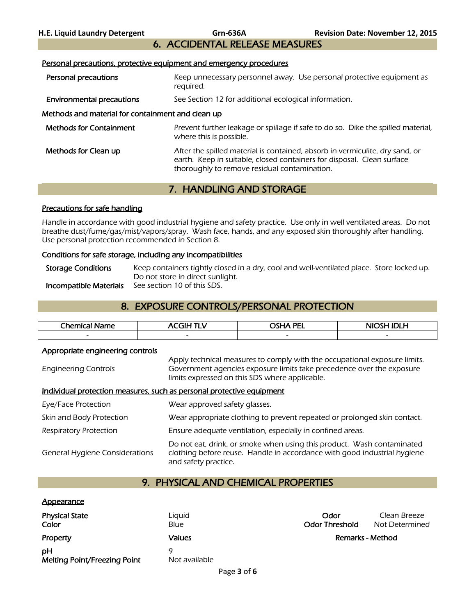# 6. ACCIDENTAL RELEASE MEASURES

#### Personal precautions, protective equipment and emergency procedures

- Personal precautions **Keep unnecessary personnel away.** Use personal protective equipment as required.
- **Environmental precautions** See Section 12 for additional ecological information.

# Methods and material for containment and clean up

| <b>Methods for Containment</b> | Prevent further leakage or spillage if safe to do so. Dike the spilled material,<br>where this is possible.                                                                                            |
|--------------------------------|--------------------------------------------------------------------------------------------------------------------------------------------------------------------------------------------------------|
| Methods for Clean up           | After the spilled material is contained, absorb in vermiculite, dry sand, or<br>earth. Keep in suitable, closed containers for disposal. Clean surface<br>thoroughly to remove residual contamination. |

# 7. HANDLING AND STORAGE

# Precautions for safe handling

Handle in accordance with good industrial hygiene and safety practice. Use only in well ventilated areas. Do not breathe dust/fume/gas/mist/vapors/spray. Wash face, hands, and any exposed skin thoroughly after handling. Use personal protection recommended in Section 8.

# Conditions for safe storage, including any incompatibilities

Storage Conditions Keep containers tightly closed in a dry, cool and well-ventilated place. Store locked up. Do not store in direct sunlight.<br>See section 10 of this SDS. **Incompatible Materials** 

# 8. EXPOSURE CONTROLS/PERSONAL PROTECTION

| Chemical,<br>ame         | ------                   | <b>PEI</b><br>~~. . ^    | .<br>−                   |
|--------------------------|--------------------------|--------------------------|--------------------------|
| $\overline{\phantom{0}}$ | $\overline{\phantom{0}}$ | $\overline{\phantom{0}}$ | $\overline{\phantom{0}}$ |
|                          |                          |                          |                          |

### Appropriate engineering controls

Engineering Controls Apply technical measures to comply with the occupational exposure limits. Government agencies exposure limits take precedence over the exposure limits expressed on this SDS where applicable.

### Individual protection measures, such as personal protective equipment

| Eye/Face Protection                   | Wear approved safety glasses.                                                                                                                                              |
|---------------------------------------|----------------------------------------------------------------------------------------------------------------------------------------------------------------------------|
| Skin and Body Protection              | Wear appropriate clothing to prevent repeated or prolonged skin contact.                                                                                                   |
| <b>Respiratory Protection</b>         | Ensure adequate ventilation, especially in confined areas.                                                                                                                 |
| <b>General Hygiene Considerations</b> | Do not eat, drink, or smoke when using this product. Wash contaminated<br>clothing before reuse. Handle in accordance with good industrial hygiene<br>and safety practice. |

# 9. PHYSICAL AND CHEMICAL PROPERTIES

### **Appearance**

| <b>Physical State</b><br>Color     | Liguid<br>Blue | Odor<br><b>Odor Threshold</b> | Clean Breeze<br>Not Determined |
|------------------------------------|----------------|-------------------------------|--------------------------------|
| Property                           | Values         |                               | Remarks - Method               |
| pH<br>Melting Point/Freezing Point | Not available  |                               |                                |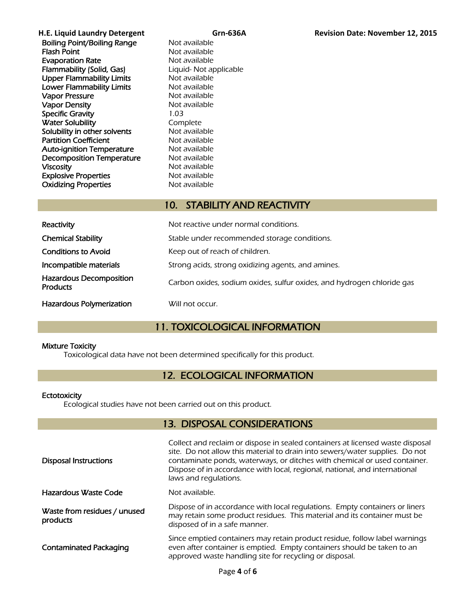| H.E. Liquid Laundry Detergent      | Grn-636/               |
|------------------------------------|------------------------|
| <b>Boiling Point/Boiling Range</b> | Not available          |
| <b>Flash Point</b>                 | Not available          |
| <b>Evaporation Rate</b>            | Not available          |
| Flammability (Solid, Gas)          | Liquid- Not applicable |
| <b>Upper Flammability Limits</b>   | Not available          |
| <b>Lower Flammability Limits</b>   | Not available          |
| <b>Vapor Pressure</b>              | Not available          |
| <b>Vapor Density</b>               | Not available          |
| <b>Specific Gravity</b>            | 1.03                   |
| <b>Water Solubility</b>            | Complete               |
| Solubility in other solvents       | Not available          |
| <b>Partition Coefficient</b>       | Not available          |
| <b>Auto-ignition Temperature</b>   | Not available          |
| <b>Decomposition Temperature</b>   | Not available          |
| Viscosity                          | Not available          |
| <b>Explosive Properties</b>        | Not available          |
| <b>Oxidizing Properties</b>        | Not available          |
|                                    |                        |

# 10. STABILITY AND REACTIVITY

| Reactivity                                        | Not reactive under normal conditions.                                  |
|---------------------------------------------------|------------------------------------------------------------------------|
| <b>Chemical Stability</b>                         | Stable under recommended storage conditions.                           |
| <b>Conditions to Avoid</b>                        | Keep out of reach of children.                                         |
| Incompatible materials                            | Strong acids, strong oxidizing agents, and amines.                     |
| <b>Hazardous Decomposition</b><br><b>Products</b> | Carbon oxides, sodium oxides, sulfur oxides, and hydrogen chloride gas |
| <b>Hazardous Polymerization</b>                   | Will not occur.                                                        |

# 11. TOXICOLOGICAL INFORMATION

# Mixture Toxicity

Toxicological data have not been determined specifically for this product.

# 12. ECOLOGICAL INFORMATION

### **Ectotoxicity**

Ecological studies have not been carried out on this product.

# 13. DISPOSAL CONSIDERATIONS

| <b>Disposal Instructions</b>             | Collect and reclaim or dispose in sealed containers at licensed waste disposal<br>site. Do not allow this material to drain into sewers/water supplies. Do not<br>contaminate ponds, waterways, or ditches with chemical or used container.<br>Dispose of in accordance with local, regional, national, and international<br>laws and regulations. |
|------------------------------------------|----------------------------------------------------------------------------------------------------------------------------------------------------------------------------------------------------------------------------------------------------------------------------------------------------------------------------------------------------|
| Hazardous Waste Code                     | Not available.                                                                                                                                                                                                                                                                                                                                     |
| Waste from residues / unused<br>products | Dispose of in accordance with local regulations. Empty containers or liners<br>may retain some product residues. This material and its container must be<br>disposed of in a safe manner.                                                                                                                                                          |
| <b>Contaminated Packaging</b>            | Since emptied containers may retain product residue, follow label warnings<br>even after container is emptied. Empty containers should be taken to an<br>approved waste handling site for recycling or disposal.                                                                                                                                   |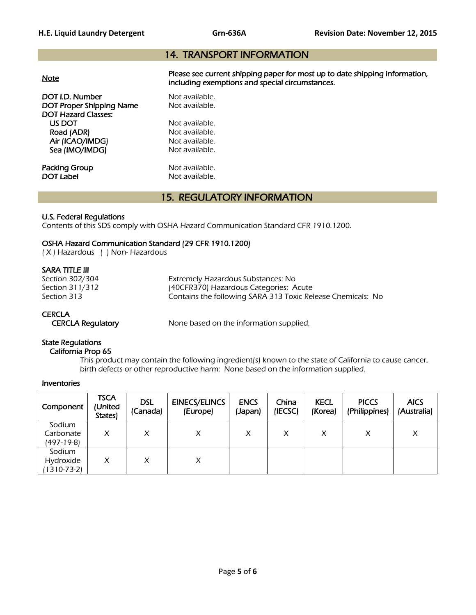# 14. TRANSPORT INFORMATION

| <b>Note</b>                                                                      | Please see current shipping paper for most up to date shipping information,<br>including exemptions and special circumstances. |
|----------------------------------------------------------------------------------|--------------------------------------------------------------------------------------------------------------------------------|
| DOT I.D. Number<br><b>DOT Proper Shipping Name</b><br><b>DOT Hazard Classes:</b> | Not available.<br>Not available.                                                                                               |
| US DOT                                                                           | Not available.                                                                                                                 |
| Road (ADR)                                                                       | Not available.                                                                                                                 |
| Air (ICAO/IMDG)                                                                  | Not available.                                                                                                                 |
| Sea (IMO/IMDG)                                                                   | Not available.                                                                                                                 |
| Packing Group                                                                    | Not available.                                                                                                                 |
| <b>DOT Label</b>                                                                 | Not available.                                                                                                                 |

# 15. REGULATORY INFORMATION

### U.S. Federal Regulations

Contents of this SDS comply with OSHA Hazard Communication Standard CFR 1910.1200.

# OSHA Hazard Communication Standard (29 CFR 1910.1200)

( X ) Hazardous ( ) Non- Hazardous

# SARA TITLE III

Section 302/304 Extremely Hazardous Substances: No Section 311/312 (40CFR370) Hazardous Categories: Acute<br>Section 313 (Section 313) Contains the following SARA 313 Toxic Rel Contains the following SARA 313 Toxic Release Chemicals: No

# **CERCLA**

CERCLA Regulatory None based on the information supplied.

# State Regulations

California Prop 65

 This product may contain the following ingredient(s) known to the state of California to cause cancer, birth defects or other reproductive harm: None based on the information supplied.

### Inventories

| Component                          | <b>TSCA</b><br>(United<br>States) | <b>DSL</b><br>(Canada) | <b>EINECS/ELINCS</b><br>(Europe) | <b>ENCS</b><br>(Japan) | China<br>(IECSC) | <b>KECL</b><br>(Korea) | <b>PICCS</b><br>(Philippines) | <b>AICS</b><br>(Australia) |
|------------------------------------|-----------------------------------|------------------------|----------------------------------|------------------------|------------------|------------------------|-------------------------------|----------------------------|
| Sodium<br>Carbonate<br>(497-19-8)  | X                                 | x                      | X                                | X                      | X                | X                      | X                             | Χ                          |
| Sodium<br>Hydroxide<br>(1310-73-2) | x                                 | X                      | X                                |                        |                  |                        |                               |                            |